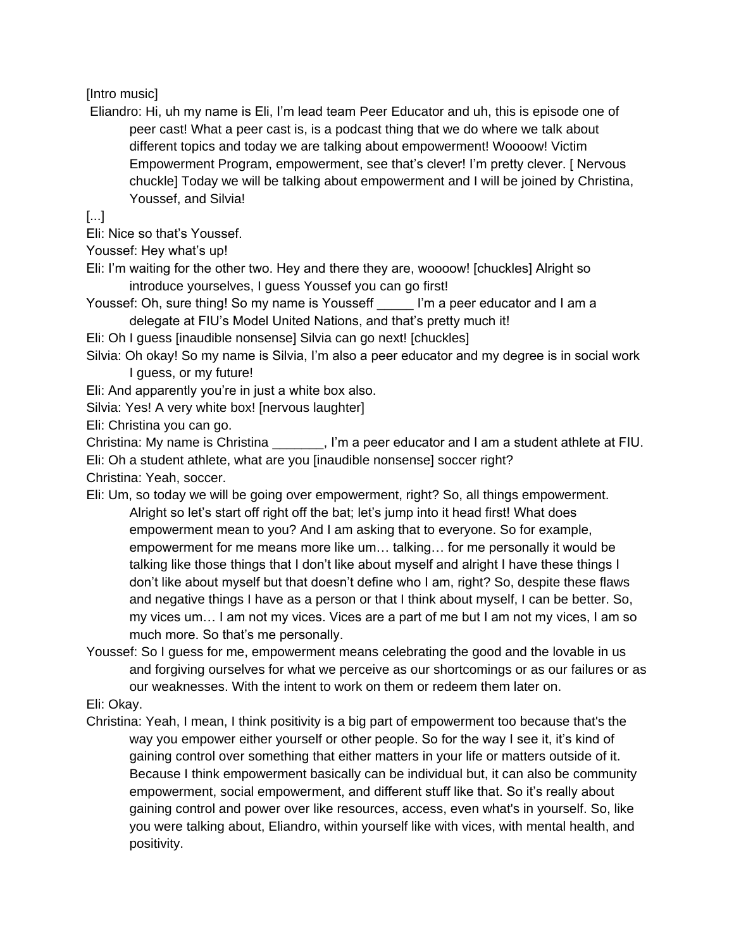## [Intro music]

Eliandro: Hi, uh my name is Eli, I'm lead team Peer Educator and uh, this is episode one of peer cast! What a peer cast is, is a podcast thing that we do where we talk about different topics and today we are talking about empowerment! Woooow! Victim Empowerment Program, empowerment, see that's clever! I'm pretty clever. [ Nervous chuckle] Today we will be talking about empowerment and I will be joined by Christina, Youssef, and Silvia!

[...]

Eli: Nice so that's Youssef.

Youssef: Hey what's up!

- Eli: I'm waiting for the other two. Hey and there they are, woooow! [chuckles] Alright so introduce yourselves, I guess Youssef you can go first!
- Youssef: Oh, sure thing! So my name is Yousseff **I'm a peer educator and I am a** delegate at FIU's Model United Nations, and that's pretty much it!

Eli: Oh I guess [inaudible nonsense] Silvia can go next! [chuckles]

Silvia: Oh okay! So my name is Silvia, I'm also a peer educator and my degree is in social work I guess, or my future!

Eli: And apparently you're in just a white box also.

Silvia: Yes! A very white box! [nervous laughter]

Eli: Christina you can go.

Christina: My name is Christina \_\_\_\_\_\_\_, I'm a peer educator and I am a student athlete at FIU.

Eli: Oh a student athlete, what are you [inaudible nonsense] soccer right?

Christina: Yeah, soccer.

- Eli: Um, so today we will be going over empowerment, right? So, all things empowerment. Alright so let's start off right off the bat; let's jump into it head first! What does empowerment mean to you? And I am asking that to everyone. So for example, empowerment for me means more like um… talking… for me personally it would be talking like those things that I don't like about myself and alright I have these things I don't like about myself but that doesn't define who I am, right? So, despite these flaws and negative things I have as a person or that I think about myself, I can be better. So, my vices um… I am not my vices. Vices are a part of me but I am not my vices, I am so much more. So that's me personally.
- Youssef: So I guess for me, empowerment means celebrating the good and the lovable in us and forgiving ourselves for what we perceive as our shortcomings or as our failures or as our weaknesses. With the intent to work on them or redeem them later on.

Eli: Okay.

Christina: Yeah, I mean, I think positivity is a big part of empowerment too because that's the way you empower either yourself or other people. So for the way I see it, it's kind of gaining control over something that either matters in your life or matters outside of it. Because I think empowerment basically can be individual but, it can also be community empowerment, social empowerment, and different stuff like that. So it's really about gaining control and power over like resources, access, even what's in yourself. So, like you were talking about, Eliandro, within yourself like with vices, with mental health, and positivity.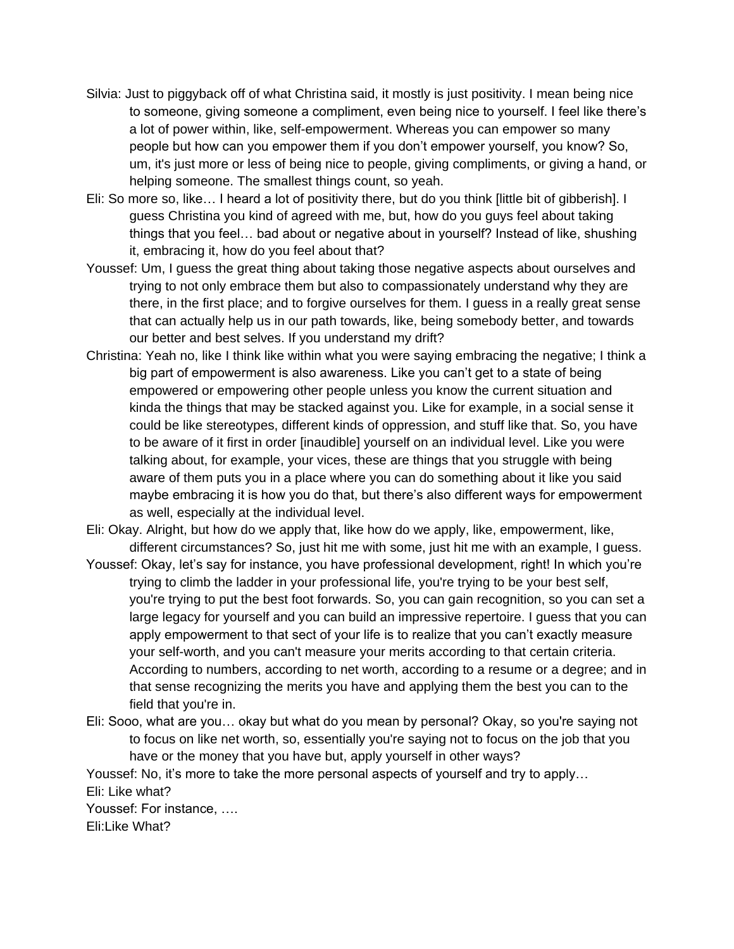- Silvia: Just to piggyback off of what Christina said, it mostly is just positivity. I mean being nice to someone, giving someone a compliment, even being nice to yourself. I feel like there's a lot of power within, like, self-empowerment. Whereas you can empower so many people but how can you empower them if you don't empower yourself, you know? So, um, it's just more or less of being nice to people, giving compliments, or giving a hand, or helping someone. The smallest things count, so yeah.
- Eli: So more so, like… I heard a lot of positivity there, but do you think [little bit of gibberish]. I guess Christina you kind of agreed with me, but, how do you guys feel about taking things that you feel… bad about or negative about in yourself? Instead of like, shushing it, embracing it, how do you feel about that?
- Youssef: Um, I guess the great thing about taking those negative aspects about ourselves and trying to not only embrace them but also to compassionately understand why they are there, in the first place; and to forgive ourselves for them. I guess in a really great sense that can actually help us in our path towards, like, being somebody better, and towards our better and best selves. If you understand my drift?
- Christina: Yeah no, like I think like within what you were saying embracing the negative; I think a big part of empowerment is also awareness. Like you can't get to a state of being empowered or empowering other people unless you know the current situation and kinda the things that may be stacked against you. Like for example, in a social sense it could be like stereotypes, different kinds of oppression, and stuff like that. So, you have to be aware of it first in order [inaudible] yourself on an individual level. Like you were talking about, for example, your vices, these are things that you struggle with being aware of them puts you in a place where you can do something about it like you said maybe embracing it is how you do that, but there's also different ways for empowerment as well, especially at the individual level.
- Eli: Okay. Alright, but how do we apply that, like how do we apply, like, empowerment, like, different circumstances? So, just hit me with some, just hit me with an example, I guess.
- Youssef: Okay, let's say for instance, you have professional development, right! In which you're trying to climb the ladder in your professional life, you're trying to be your best self, you're trying to put the best foot forwards. So, you can gain recognition, so you can set a large legacy for yourself and you can build an impressive repertoire. I guess that you can apply empowerment to that sect of your life is to realize that you can't exactly measure your self-worth, and you can't measure your merits according to that certain criteria. According to numbers, according to net worth, according to a resume or a degree; and in that sense recognizing the merits you have and applying them the best you can to the field that you're in.
- Eli: Sooo, what are you… okay but what do you mean by personal? Okay, so you're saying not to focus on like net worth, so, essentially you're saying not to focus on the job that you have or the money that you have but, apply yourself in other ways?

Youssef: No, it's more to take the more personal aspects of yourself and try to apply… Eli: Like what?

Youssef: For instance, …. Eli:Like What?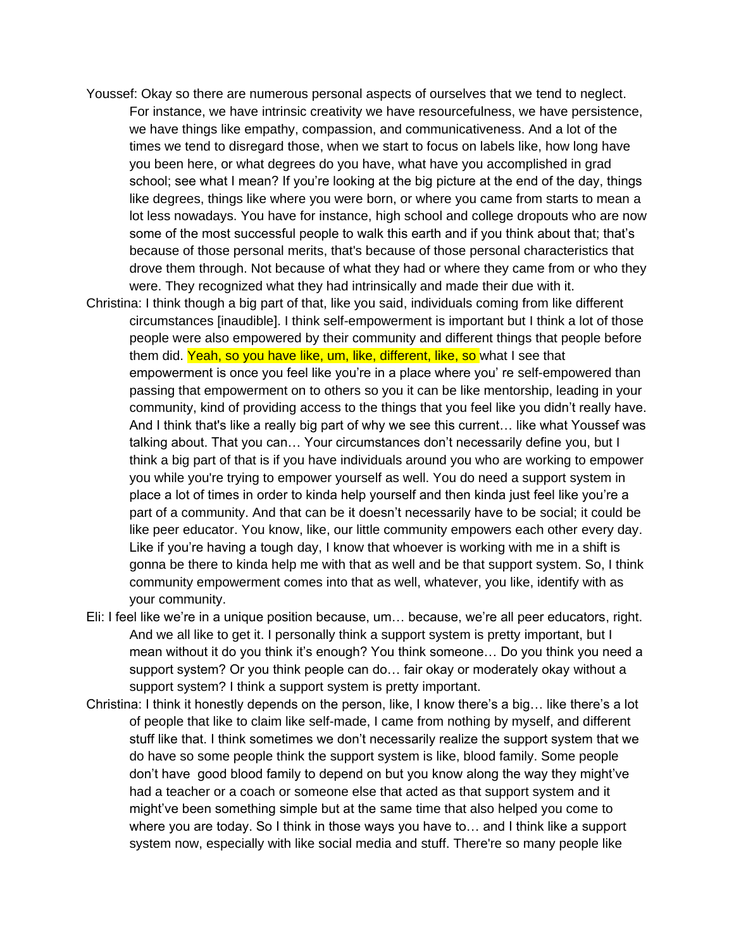- Youssef: Okay so there are numerous personal aspects of ourselves that we tend to neglect. For instance, we have intrinsic creativity we have resourcefulness, we have persistence, we have things like empathy, compassion, and communicativeness. And a lot of the times we tend to disregard those, when we start to focus on labels like, how long have you been here, or what degrees do you have, what have you accomplished in grad school; see what I mean? If you're looking at the big picture at the end of the day, things like degrees, things like where you were born, or where you came from starts to mean a lot less nowadays. You have for instance, high school and college dropouts who are now some of the most successful people to walk this earth and if you think about that; that's because of those personal merits, that's because of those personal characteristics that drove them through. Not because of what they had or where they came from or who they were. They recognized what they had intrinsically and made their due with it.
- Christina: I think though a big part of that, like you said, individuals coming from like different circumstances [inaudible]. I think self-empowerment is important but I think a lot of those people were also empowered by their community and different things that people before them did. Yeah, so you have like, um, like, different, like, so what I see that empowerment is once you feel like you're in a place where you' re self-empowered than passing that empowerment on to others so you it can be like mentorship, leading in your community, kind of providing access to the things that you feel like you didn't really have. And I think that's like a really big part of why we see this current… like what Youssef was talking about. That you can… Your circumstances don't necessarily define you, but I think a big part of that is if you have individuals around you who are working to empower you while you're trying to empower yourself as well. You do need a support system in place a lot of times in order to kinda help yourself and then kinda just feel like you're a part of a community. And that can be it doesn't necessarily have to be social; it could be like peer educator. You know, like, our little community empowers each other every day. Like if you're having a tough day, I know that whoever is working with me in a shift is gonna be there to kinda help me with that as well and be that support system. So, I think community empowerment comes into that as well, whatever, you like, identify with as your community.
- Eli: I feel like we're in a unique position because, um… because, we're all peer educators, right. And we all like to get it. I personally think a support system is pretty important, but I mean without it do you think it's enough? You think someone… Do you think you need a support system? Or you think people can do… fair okay or moderately okay without a support system? I think a support system is pretty important.
- Christina: I think it honestly depends on the person, like, I know there's a big… like there's a lot of people that like to claim like self-made, I came from nothing by myself, and different stuff like that. I think sometimes we don't necessarily realize the support system that we do have so some people think the support system is like, blood family. Some people don't have good blood family to depend on but you know along the way they might've had a teacher or a coach or someone else that acted as that support system and it might've been something simple but at the same time that also helped you come to where you are today. So I think in those ways you have to… and I think like a support system now, especially with like social media and stuff. There're so many people like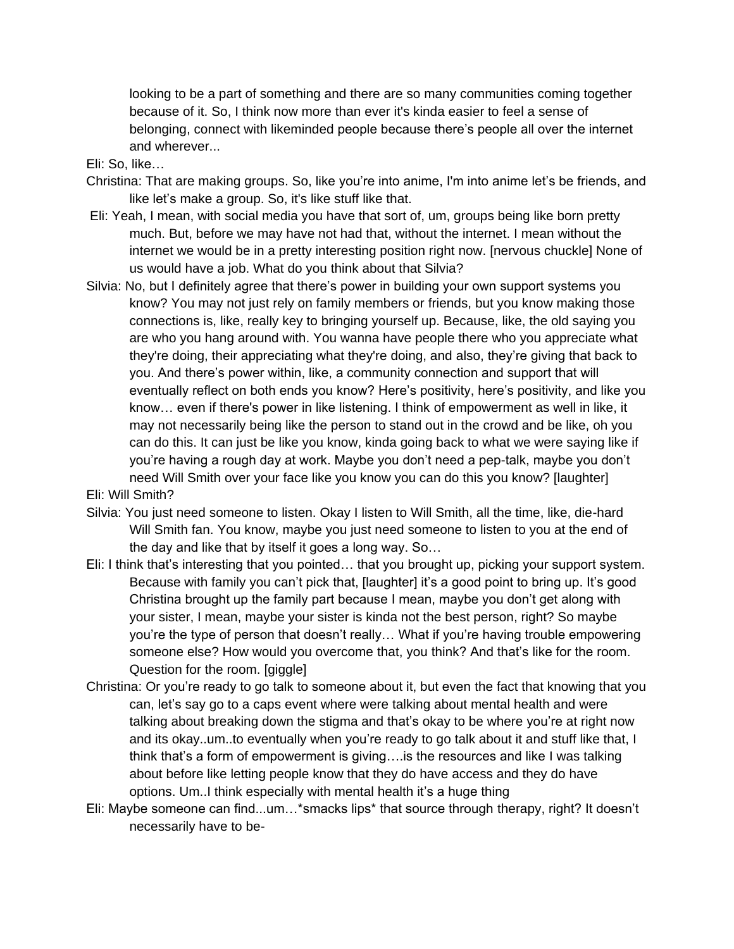looking to be a part of something and there are so many communities coming together because of it. So, I think now more than ever it's kinda easier to feel a sense of belonging, connect with likeminded people because there's people all over the internet and wherever...

Eli: So, like…

- Christina: That are making groups. So, like you're into anime, I'm into anime let's be friends, and like let's make a group. So, it's like stuff like that.
- Eli: Yeah, I mean, with social media you have that sort of, um, groups being like born pretty much. But, before we may have not had that, without the internet. I mean without the internet we would be in a pretty interesting position right now. [nervous chuckle] None of us would have a job. What do you think about that Silvia?
- Silvia: No, but I definitely agree that there's power in building your own support systems you know? You may not just rely on family members or friends, but you know making those connections is, like, really key to bringing yourself up. Because, like, the old saying you are who you hang around with. You wanna have people there who you appreciate what they're doing, their appreciating what they're doing, and also, they're giving that back to you. And there's power within, like, a community connection and support that will eventually reflect on both ends you know? Here's positivity, here's positivity, and like you know… even if there's power in like listening. I think of empowerment as well in like, it may not necessarily being like the person to stand out in the crowd and be like, oh you can do this. It can just be like you know, kinda going back to what we were saying like if you're having a rough day at work. Maybe you don't need a pep-talk, maybe you don't need Will Smith over your face like you know you can do this you know? [laughter]

Eli: Will Smith?

Silvia: You just need someone to listen. Okay I listen to Will Smith, all the time, like, die-hard Will Smith fan. You know, maybe you just need someone to listen to you at the end of the day and like that by itself it goes a long way. So…

- Eli: I think that's interesting that you pointed… that you brought up, picking your support system. Because with family you can't pick that, [laughter] it's a good point to bring up. It's good Christina brought up the family part because I mean, maybe you don't get along with your sister, I mean, maybe your sister is kinda not the best person, right? So maybe you're the type of person that doesn't really… What if you're having trouble empowering someone else? How would you overcome that, you think? And that's like for the room. Question for the room. [giggle]
- Christina: Or you're ready to go talk to someone about it, but even the fact that knowing that you can, let's say go to a caps event where were talking about mental health and were talking about breaking down the stigma and that's okay to be where you're at right now and its okay..um..to eventually when you're ready to go talk about it and stuff like that, I think that's a form of empowerment is giving….is the resources and like I was talking about before like letting people know that they do have access and they do have options. Um..I think especially with mental health it's a huge thing
- Eli: Maybe someone can find...um…\*smacks lips\* that source through therapy, right? It doesn't necessarily have to be-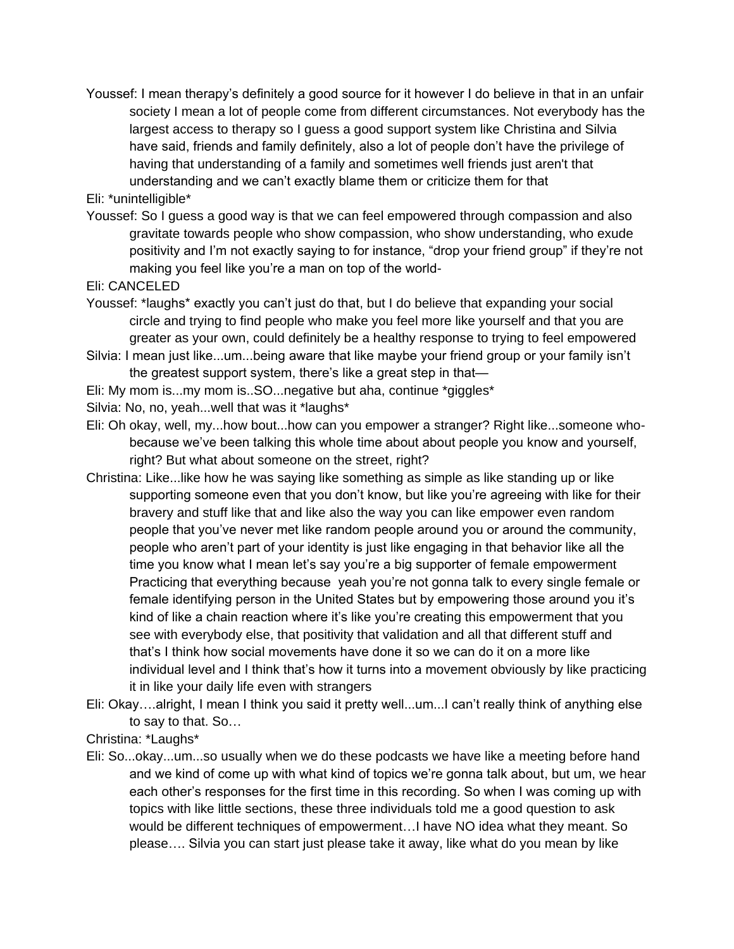Youssef: I mean therapy's definitely a good source for it however I do believe in that in an unfair society I mean a lot of people come from different circumstances. Not everybody has the largest access to therapy so I guess a good support system like Christina and Silvia have said, friends and family definitely, also a lot of people don't have the privilege of having that understanding of a family and sometimes well friends just aren't that understanding and we can't exactly blame them or criticize them for that

Eli: \*unintelligible\*

Youssef: So I guess a good way is that we can feel empowered through compassion and also gravitate towards people who show compassion, who show understanding, who exude positivity and I'm not exactly saying to for instance, "drop your friend group" if they're not making you feel like you're a man on top of the world-

Eli: CANCELED

- Youssef: \*laughs\* exactly you can't just do that, but I do believe that expanding your social circle and trying to find people who make you feel more like yourself and that you are greater as your own, could definitely be a healthy response to trying to feel empowered
- Silvia: I mean just like...um...being aware that like maybe your friend group or your family isn't the greatest support system, there's like a great step in that—
- Eli: My mom is...my mom is..SO...negative but aha, continue \*giggles\*
- Silvia: No, no, yeah...well that was it \*laughs\*
- Eli: Oh okay, well, my...how bout...how can you empower a stranger? Right like...someone whobecause we've been talking this whole time about about people you know and yourself, right? But what about someone on the street, right?
- Christina: Like...like how he was saying like something as simple as like standing up or like supporting someone even that you don't know, but like you're agreeing with like for their bravery and stuff like that and like also the way you can like empower even random people that you've never met like random people around you or around the community, people who aren't part of your identity is just like engaging in that behavior like all the time you know what I mean let's say you're a big supporter of female empowerment Practicing that everything because yeah you're not gonna talk to every single female or female identifying person in the United States but by empowering those around you it's kind of like a chain reaction where it's like you're creating this empowerment that you see with everybody else, that positivity that validation and all that different stuff and that's I think how social movements have done it so we can do it on a more like individual level and I think that's how it turns into a movement obviously by like practicing it in like your daily life even with strangers
- Eli: Okay….alright, I mean I think you said it pretty well...um...I can't really think of anything else to say to that. So…

Christina: \*Laughs\*

Eli: So...okay...um...so usually when we do these podcasts we have like a meeting before hand and we kind of come up with what kind of topics we're gonna talk about, but um, we hear each other's responses for the first time in this recording. So when I was coming up with topics with like little sections, these three individuals told me a good question to ask would be different techniques of empowerment…I have NO idea what they meant. So please…. Silvia you can start just please take it away, like what do you mean by like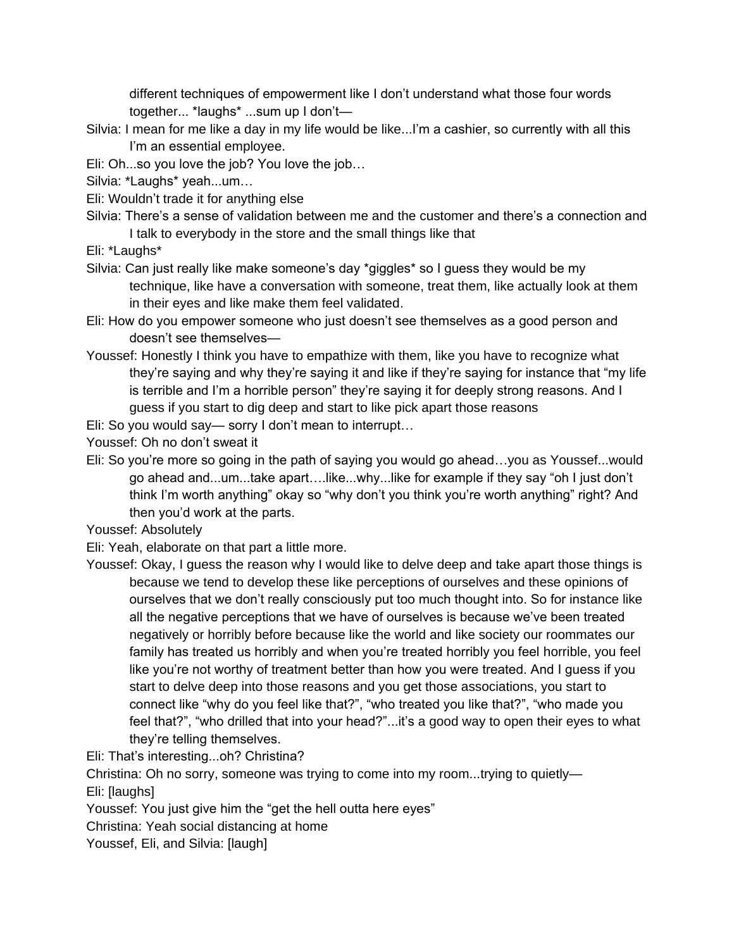different techniques of empowerment like I don't understand what those four words together... \*laughs\* ...sum up I don't—

- Silvia: I mean for me like a day in my life would be like...I'm a cashier, so currently with all this I'm an essential employee.
- Eli: Oh...so you love the job? You love the job…

Silvia: \*Laughs\* yeah...um…

- Eli: Wouldn't trade it for anything else
- Silvia: There's a sense of validation between me and the customer and there's a connection and I talk to everybody in the store and the small things like that
- Eli: \*Laughs\*
- Silvia: Can just really like make someone's day \*giggles\* so I guess they would be my technique, like have a conversation with someone, treat them, like actually look at them in their eyes and like make them feel validated.
- Eli: How do you empower someone who just doesn't see themselves as a good person and doesn't see themselves—
- Youssef: Honestly I think you have to empathize with them, like you have to recognize what they're saying and why they're saying it and like if they're saying for instance that "my life is terrible and I'm a horrible person" they're saying it for deeply strong reasons. And I guess if you start to dig deep and start to like pick apart those reasons

Eli: So you would say— sorry I don't mean to interrupt…

Youssef: Oh no don't sweat it

- Eli: So you're more so going in the path of saying you would go ahead…you as Youssef...would go ahead and...um...take apart….like...why...like for example if they say "oh I just don't think I'm worth anything" okay so "why don't you think you're worth anything" right? And then you'd work at the parts.
- Youssef: Absolutely

Eli: Yeah, elaborate on that part a little more.

Youssef: Okay, I guess the reason why I would like to delve deep and take apart those things is because we tend to develop these like perceptions of ourselves and these opinions of ourselves that we don't really consciously put too much thought into. So for instance like all the negative perceptions that we have of ourselves is because we've been treated negatively or horribly before because like the world and like society our roommates our family has treated us horribly and when you're treated horribly you feel horrible, you feel like you're not worthy of treatment better than how you were treated. And I guess if you start to delve deep into those reasons and you get those associations, you start to connect like "why do you feel like that?", "who treated you like that?", "who made you feel that?", "who drilled that into your head?"...it's a good way to open their eyes to what they're telling themselves.

Eli: That's interesting...oh? Christina?

Christina: Oh no sorry, someone was trying to come into my room...trying to quietly—

Eli: [laughs]

Youssef: You just give him the "get the hell outta here eyes"

Christina: Yeah social distancing at home

Youssef, Eli, and Silvia: [laugh]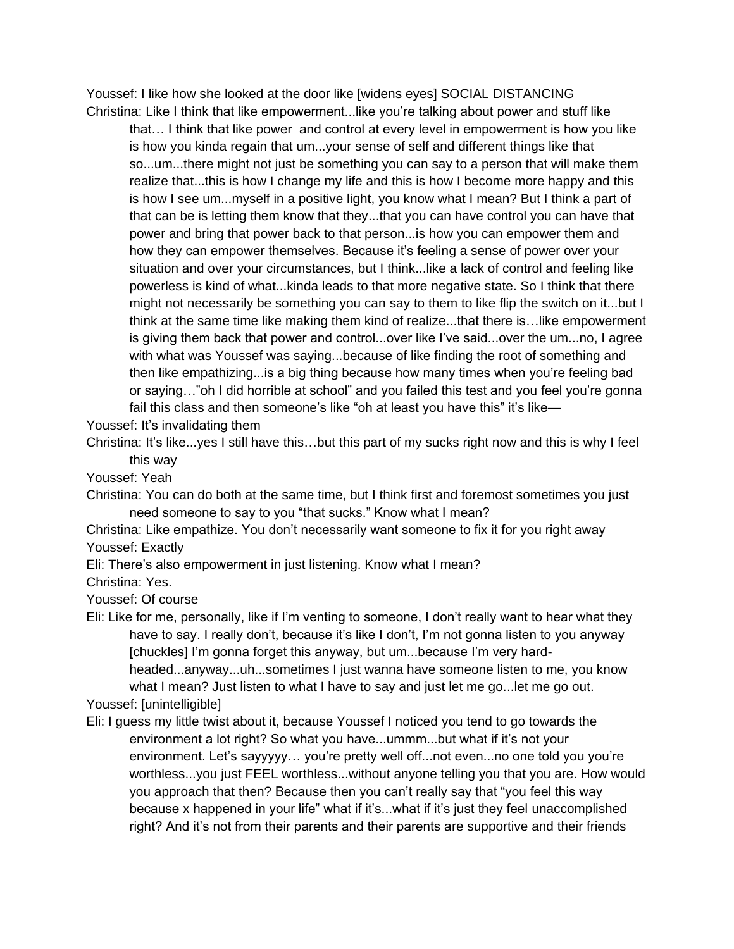Youssef: I like how she looked at the door like [widens eyes] SOCIAL DISTANCING Christina: Like I think that like empowerment...like you're talking about power and stuff like

that… I think that like power and control at every level in empowerment is how you like is how you kinda regain that um...your sense of self and different things like that so...um...there might not just be something you can say to a person that will make them realize that...this is how I change my life and this is how I become more happy and this is how I see um...myself in a positive light, you know what I mean? But I think a part of that can be is letting them know that they...that you can have control you can have that power and bring that power back to that person...is how you can empower them and how they can empower themselves. Because it's feeling a sense of power over your situation and over your circumstances, but I think...like a lack of control and feeling like powerless is kind of what...kinda leads to that more negative state. So I think that there might not necessarily be something you can say to them to like flip the switch on it...but I think at the same time like making them kind of realize...that there is…like empowerment is giving them back that power and control...over like I've said...over the um...no, I agree with what was Youssef was saying...because of like finding the root of something and then like empathizing...is a big thing because how many times when you're feeling bad or saying…"oh I did horrible at school" and you failed this test and you feel you're gonna fail this class and then someone's like "oh at least you have this" it's like—

Youssef: It's invalidating them

Christina: It's like...yes I still have this…but this part of my sucks right now and this is why I feel this way

Youssef: Yeah

Christina: You can do both at the same time, but I think first and foremost sometimes you just need someone to say to you "that sucks." Know what I mean?

Christina: Like empathize. You don't necessarily want someone to fix it for you right away Youssef: Exactly

Eli: There's also empowerment in just listening. Know what I mean?

Christina: Yes.

Youssef: Of course

Eli: Like for me, personally, like if I'm venting to someone, I don't really want to hear what they have to say. I really don't, because it's like I don't, I'm not gonna listen to you anyway [chuckles] I'm gonna forget this anyway, but um...because I'm very hardheaded...anyway...uh...sometimes I just wanna have someone listen to me, you know what I mean? Just listen to what I have to say and just let me go...let me go out.

## Youssef: [unintelligible]

Eli: I guess my little twist about it, because Youssef I noticed you tend to go towards the environment a lot right? So what you have...ummm...but what if it's not your environment. Let's sayyyyy… you're pretty well off...not even...no one told you you're worthless...you just FEEL worthless...without anyone telling you that you are. How would you approach that then? Because then you can't really say that "you feel this way because x happened in your life" what if it's...what if it's just they feel unaccomplished right? And it's not from their parents and their parents are supportive and their friends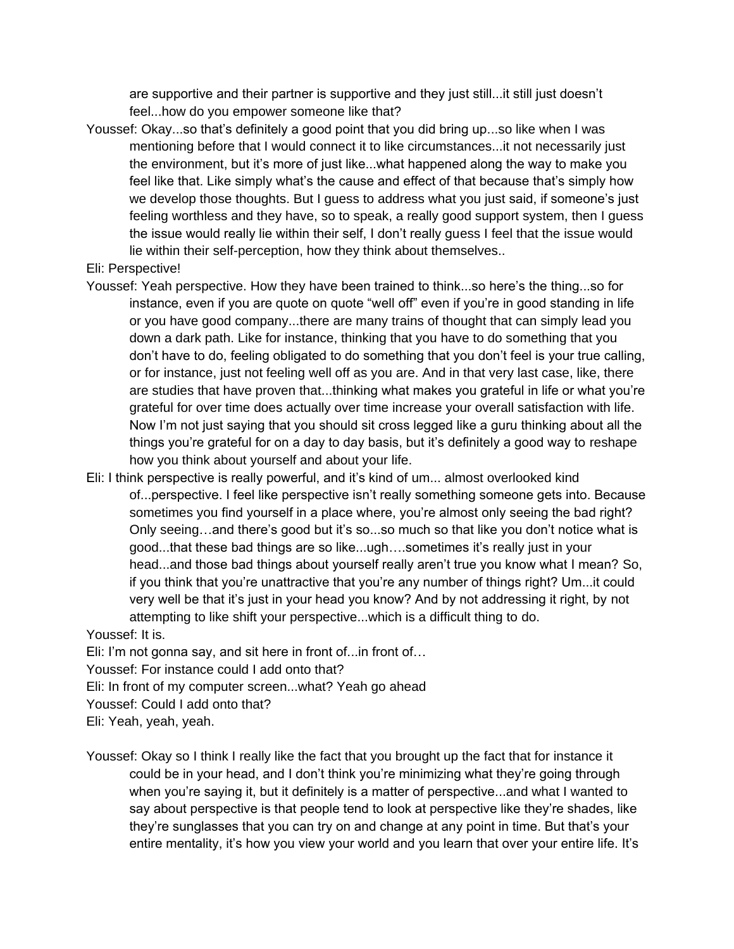are supportive and their partner is supportive and they just still...it still just doesn't feel...how do you empower someone like that?

Youssef: Okay...so that's definitely a good point that you did bring up...so like when I was mentioning before that I would connect it to like circumstances...it not necessarily just the environment, but it's more of just like...what happened along the way to make you feel like that. Like simply what's the cause and effect of that because that's simply how we develop those thoughts. But I guess to address what you just said, if someone's just feeling worthless and they have, so to speak, a really good support system, then I guess the issue would really lie within their self, I don't really guess I feel that the issue would lie within their self-perception, how they think about themselves..

Eli: Perspective!

- Youssef: Yeah perspective. How they have been trained to think...so here's the thing...so for instance, even if you are quote on quote "well off" even if you're in good standing in life or you have good company...there are many trains of thought that can simply lead you down a dark path. Like for instance, thinking that you have to do something that you don't have to do, feeling obligated to do something that you don't feel is your true calling, or for instance, just not feeling well off as you are. And in that very last case, like, there are studies that have proven that...thinking what makes you grateful in life or what you're grateful for over time does actually over time increase your overall satisfaction with life. Now I'm not just saying that you should sit cross legged like a guru thinking about all the things you're grateful for on a day to day basis, but it's definitely a good way to reshape how you think about yourself and about your life.
- Eli: I think perspective is really powerful, and it's kind of um... almost overlooked kind of...perspective. I feel like perspective isn't really something someone gets into. Because sometimes you find yourself in a place where, you're almost only seeing the bad right? Only seeing…and there's good but it's so...so much so that like you don't notice what is good...that these bad things are so like...ugh….sometimes it's really just in your head...and those bad things about yourself really aren't true you know what I mean? So, if you think that you're unattractive that you're any number of things right? Um...it could very well be that it's just in your head you know? And by not addressing it right, by not attempting to like shift your perspective...which is a difficult thing to do.

Youssef: It is.

Eli: I'm not gonna say, and sit here in front of...in front of…

Youssef: For instance could I add onto that?

Eli: In front of my computer screen...what? Yeah go ahead

Youssef: Could I add onto that?

Eli: Yeah, yeah, yeah.

Youssef: Okay so I think I really like the fact that you brought up the fact that for instance it could be in your head, and I don't think you're minimizing what they're going through when you're saying it, but it definitely is a matter of perspective...and what I wanted to say about perspective is that people tend to look at perspective like they're shades, like they're sunglasses that you can try on and change at any point in time. But that's your entire mentality, it's how you view your world and you learn that over your entire life. It's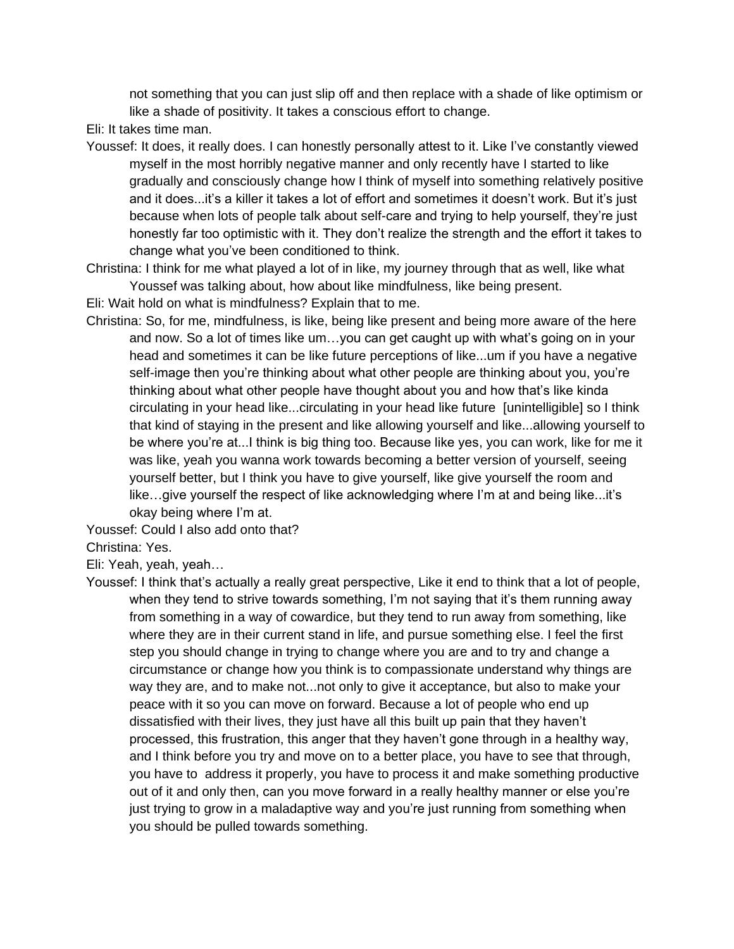not something that you can just slip off and then replace with a shade of like optimism or like a shade of positivity. It takes a conscious effort to change.

- Eli: It takes time man.
- Youssef: It does, it really does. I can honestly personally attest to it. Like I've constantly viewed myself in the most horribly negative manner and only recently have I started to like gradually and consciously change how I think of myself into something relatively positive and it does...it's a killer it takes a lot of effort and sometimes it doesn't work. But it's just because when lots of people talk about self-care and trying to help yourself, they're just honestly far too optimistic with it. They don't realize the strength and the effort it takes to change what you've been conditioned to think.
- Christina: I think for me what played a lot of in like, my journey through that as well, like what Youssef was talking about, how about like mindfulness, like being present.
- Eli: Wait hold on what is mindfulness? Explain that to me.
- Christina: So, for me, mindfulness, is like, being like present and being more aware of the here and now. So a lot of times like um…you can get caught up with what's going on in your head and sometimes it can be like future perceptions of like...um if you have a negative self-image then you're thinking about what other people are thinking about you, you're thinking about what other people have thought about you and how that's like kinda circulating in your head like...circulating in your head like future [unintelligible] so I think that kind of staying in the present and like allowing yourself and like...allowing yourself to be where you're at...I think is big thing too. Because like yes, you can work, like for me it was like, yeah you wanna work towards becoming a better version of yourself, seeing yourself better, but I think you have to give yourself, like give yourself the room and like…give yourself the respect of like acknowledging where I'm at and being like...it's okay being where I'm at.
- Youssef: Could I also add onto that?

Christina: Yes.

Eli: Yeah, yeah, yeah…

Youssef: I think that's actually a really great perspective, Like it end to think that a lot of people, when they tend to strive towards something, I'm not saying that it's them running away from something in a way of cowardice, but they tend to run away from something, like where they are in their current stand in life, and pursue something else. I feel the first step you should change in trying to change where you are and to try and change a circumstance or change how you think is to compassionate understand why things are way they are, and to make not...not only to give it acceptance, but also to make your peace with it so you can move on forward. Because a lot of people who end up dissatisfied with their lives, they just have all this built up pain that they haven't processed, this frustration, this anger that they haven't gone through in a healthy way, and I think before you try and move on to a better place, you have to see that through, you have to address it properly, you have to process it and make something productive out of it and only then, can you move forward in a really healthy manner or else you're just trying to grow in a maladaptive way and you're just running from something when you should be pulled towards something.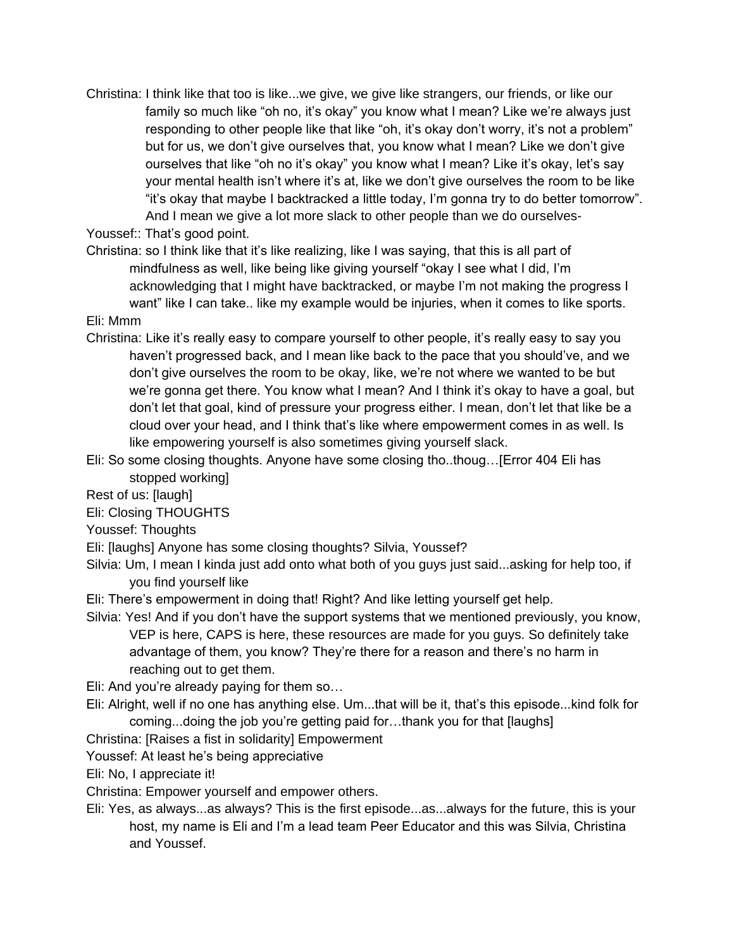Christina: I think like that too is like...we give, we give like strangers, our friends, or like our family so much like "oh no, it's okay" you know what I mean? Like we're always just responding to other people like that like "oh, it's okay don't worry, it's not a problem" but for us, we don't give ourselves that, you know what I mean? Like we don't give ourselves that like "oh no it's okay" you know what I mean? Like it's okay, let's say your mental health isn't where it's at, like we don't give ourselves the room to be like "it's okay that maybe I backtracked a little today, I'm gonna try to do better tomorrow". And I mean we give a lot more slack to other people than we do ourselves-

Youssef:: That's good point.

Christina: so I think like that it's like realizing, like I was saying, that this is all part of mindfulness as well, like being like giving yourself "okay I see what I did, I'm acknowledging that I might have backtracked, or maybe I'm not making the progress I want" like I can take.. like my example would be injuries, when it comes to like sports.

## Eli: Mmm

- Christina: Like it's really easy to compare yourself to other people, it's really easy to say you haven't progressed back, and I mean like back to the pace that you should've, and we don't give ourselves the room to be okay, like, we're not where we wanted to be but we're gonna get there. You know what I mean? And I think it's okay to have a goal, but don't let that goal, kind of pressure your progress either. I mean, don't let that like be a cloud over your head, and I think that's like where empowerment comes in as well. Is like empowering yourself is also sometimes giving yourself slack.
- Eli: So some closing thoughts. Anyone have some closing tho..thoug…[Error 404 Eli has stopped working]

Rest of us: [laugh]

Eli: Closing THOUGHTS

Youssef: Thoughts

- Eli: [laughs] Anyone has some closing thoughts? Silvia, Youssef?
- Silvia: Um, I mean I kinda just add onto what both of you guys just said...asking for help too, if you find yourself like

Eli: There's empowerment in doing that! Right? And like letting yourself get help.

Silvia: Yes! And if you don't have the support systems that we mentioned previously, you know, VEP is here, CAPS is here, these resources are made for you guys. So definitely take advantage of them, you know? They're there for a reason and there's no harm in reaching out to get them.

Eli: And you're already paying for them so…

- Eli: Alright, well if no one has anything else. Um...that will be it, that's this episode...kind folk for coming...doing the job you're getting paid for…thank you for that [laughs]
- Christina: [Raises a fist in solidarity] Empowerment
- Youssef: At least he's being appreciative

Eli: No, I appreciate it!

Christina: Empower yourself and empower others.

Eli: Yes, as always...as always? This is the first episode...as...always for the future, this is your host, my name is Eli and I'm a lead team Peer Educator and this was Silvia, Christina and Youssef.